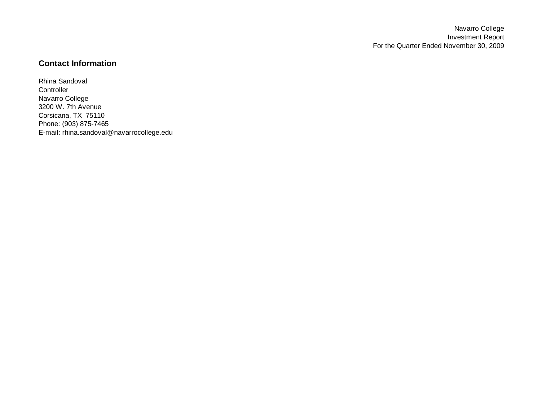# **Contact Information**

Rhina Sandoval **Controller** Navarro College 3200 W. 7th Avenue Corsicana, TX 75110 Phone: (903) 875-7465 E-mail: rhina.sandoval@navarrocollege.edu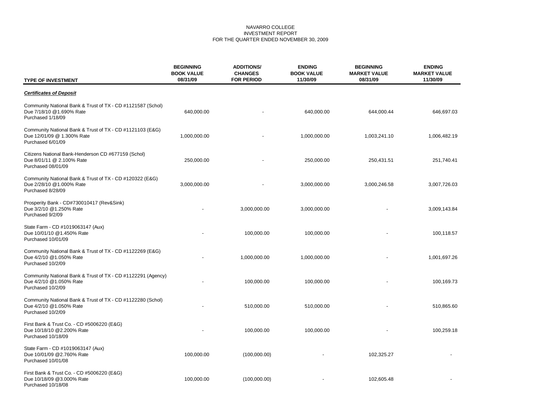## NAVARRO COLLEGE INVESTMENT REPORT FOR THE QUARTER ENDED NOVEMBER 30, 2009

| <b>TYPE OF INVESTMENT</b>                                                                                    | <b>BEGINNING</b><br><b>BOOK VALUE</b><br>08/31/09 | <b>ADDITIONS/</b><br><b>CHANGES</b><br><b>FOR PERIOD</b> | <b>ENDING</b><br><b>BOOK VALUE</b><br>11/30/09 | <b>BEGINNING</b><br><b>MARKET VALUE</b><br>08/31/09 | <b>ENDING</b><br><b>MARKET VALUE</b><br>11/30/09 |
|--------------------------------------------------------------------------------------------------------------|---------------------------------------------------|----------------------------------------------------------|------------------------------------------------|-----------------------------------------------------|--------------------------------------------------|
| <b>Certificates of Deposit</b>                                                                               |                                                   |                                                          |                                                |                                                     |                                                  |
| Community National Bank & Trust of TX - CD #1121587 (Schol)<br>Due 7/18/10 @1.690% Rate<br>Purchased 1/18/09 | 640,000.00                                        |                                                          | 640,000.00                                     | 644,000.44                                          | 646,697.03                                       |
| Community National Bank & Trust of TX - CD #1121103 (E&G)<br>Due 12/01/09 @ 1.300% Rate<br>Purchased 6/01/09 | 1,000,000.00                                      |                                                          | 1,000,000.00                                   | 1,003,241.10                                        | 1,006,482.19                                     |
| Citizens National Bank-Henderson CD #677159 (Schol)<br>Due 8/01/11 @ 2.100% Rate<br>Purchased 08/01/09       | 250,000.00                                        |                                                          | 250,000.00                                     | 250,431.51                                          | 251,740.41                                       |
| Community National Bank & Trust of TX - CD #120322 (E&G)<br>Due 2/28/10 @1.000% Rate<br>Purchased 8/28/09    | 3,000,000.00                                      |                                                          | 3,000,000.00                                   | 3,000,246.58                                        | 3,007,726.03                                     |
| Prosperity Bank - CD#730010417 (Rev&Sink)<br>Due 3/2/10 @1.250% Rate<br>Purchased 9/2/09                     |                                                   | 3,000,000.00                                             | 3,000,000.00                                   |                                                     | 3,009,143.84                                     |
| State Farm - CD #1019063147 (Aux)<br>Due 10/01/10 @1.450% Rate<br>Purchased 10/01/09                         |                                                   | 100,000.00                                               | 100,000.00                                     |                                                     | 100,118.57                                       |
| Community National Bank & Trust of TX - CD #1122269 (E&G)<br>Due 4/2/10 @1.050% Rate<br>Purchased 10/2/09    |                                                   | 1,000,000.00                                             | 1,000,000.00                                   |                                                     | 1,001,697.26                                     |
| Community National Bank & Trust of TX - CD #1122291 (Agency)<br>Due 4/2/10 @1.050% Rate<br>Purchased 10/2/09 |                                                   | 100,000.00                                               | 100,000.00                                     |                                                     | 100,169.73                                       |
| Community National Bank & Trust of TX - CD #1122280 (Schol)<br>Due 4/2/10 @1.050% Rate<br>Purchased 10/2/09  |                                                   | 510,000.00                                               | 510,000.00                                     |                                                     | 510,865.60                                       |
| First Bank & Trust Co. - CD #5006220 (E&G)<br>Due 10/18/10 @2.200% Rate<br>Purchased 10/18/09                |                                                   | 100,000.00                                               | 100,000.00                                     |                                                     | 100,259.18                                       |
| State Farm - CD #1019063147 (Aux)<br>Due 10/01/09 @2.760% Rate<br>Purchased 10/01/08                         | 100,000.00                                        | (100,000.00)                                             |                                                | 102,325.27                                          |                                                  |
| First Bank & Trust Co. - CD #5006220 (E&G)<br>Due 10/18/09 @3.000% Rate<br>Purchased 10/18/08                | 100,000.00                                        | (100,000.00)                                             |                                                | 102,605.48                                          |                                                  |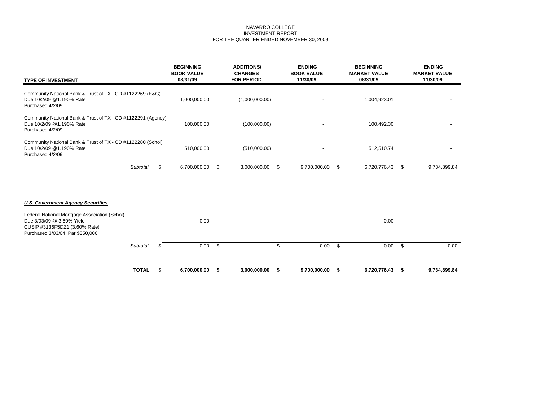## NAVARRO COLLEGE INVESTMENT REPORT FOR THE QUARTER ENDED NOVEMBER 30, 2009

| <b>TYPE OF INVESTMENT</b>                                                                                                                      |              |    | <b>BEGINNING</b><br><b>BOOK VALUE</b><br>08/31/09 | <b>ADDITIONS/</b><br><b>CHANGES</b><br><b>FOR PERIOD</b> |      | <b>ENDING</b><br><b>BOOK VALUE</b><br>11/30/09 |                          | <b>BEGINNING</b><br><b>MARKET VALUE</b><br>08/31/09 |          | <b>ENDING</b><br><b>MARKET VALUE</b><br>11/30/09 |
|------------------------------------------------------------------------------------------------------------------------------------------------|--------------|----|---------------------------------------------------|----------------------------------------------------------|------|------------------------------------------------|--------------------------|-----------------------------------------------------|----------|--------------------------------------------------|
| Community National Bank & Trust of TX - CD #1122269 (E&G)<br>Due 10/2/09 @1.190% Rate<br>Purchased 4/2/09                                      |              |    | 1,000,000.00                                      | (1,000,000.00)                                           |      |                                                |                          | 1,004,923.01                                        |          |                                                  |
| Community National Bank & Trust of TX - CD #1122291 (Agency)<br>Due 10/2/09 @1.190% Rate<br>Purchased 4/2/09                                   |              |    | 100,000.00                                        | (100,000.00)                                             |      |                                                |                          | 100,492.30                                          |          |                                                  |
| Community National Bank & Trust of TX - CD #1122280 (Schol)<br>Due 10/2/09 @1.190% Rate<br>Purchased 4/2/09                                    |              |    | 510,000.00                                        | (510,000.00)                                             |      |                                                |                          | 512,510.74                                          |          |                                                  |
|                                                                                                                                                | Subtotal     | S. | 6,700,000.00                                      | \$<br>3,000,000.00                                       | - \$ | 9,700,000.00                                   | \$                       | 6,720,776.43                                        | -\$      | 9,734,899.84                                     |
| <b>U.S. Government Agency Securities</b>                                                                                                       |              |    |                                                   |                                                          |      |                                                |                          |                                                     |          |                                                  |
| Federal National Mortgage Association (Schol)<br>Due 3/03/09 @ 3.60% Yield<br>CUSIP #3136F5DZ1 (3.60% Rate)<br>Purchased 3/03/04 Par \$350,000 |              |    | 0.00                                              |                                                          |      |                                                |                          | 0.00                                                |          |                                                  |
|                                                                                                                                                | Subtotal     | S. | 0.00                                              | \$                                                       | \$   | 0.00                                           | $\overline{\mathcal{S}}$ | 0.00                                                | <b>S</b> | 0.00                                             |
|                                                                                                                                                | <b>TOTAL</b> | \$ | 6,700,000.00                                      | \$<br>3,000,000.00                                       | \$   | 9,700,000.00                                   | -S                       | 6,720,776.43                                        | - \$     | 9,734,899.84                                     |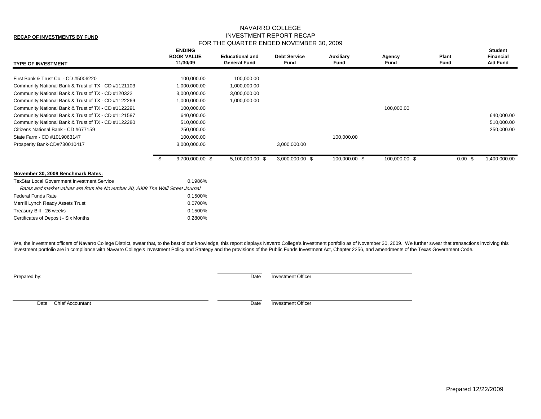# NAVARRO COLLEGE INVESTMENT REPORT RECAP FOR THE QUARTER ENDED NOVEMBER 30, 2009

| <b>TYPE OF INVESTMENT</b>                                                      |      | <b>ENDING</b><br><b>BOOK VALUE</b><br>11/30/09 | <b>Educational and</b><br><b>General Fund</b> | <b>Debt Service</b><br><b>Fund</b> | Auxiliary<br>Fund | Agency<br>Fund | Plant<br>Fund      | <b>Student</b><br><b>Financial</b><br><b>Aid Fund</b> |
|--------------------------------------------------------------------------------|------|------------------------------------------------|-----------------------------------------------|------------------------------------|-------------------|----------------|--------------------|-------------------------------------------------------|
| First Bank & Trust Co. - CD #5006220                                           |      | 100,000.00                                     | 100,000.00                                    |                                    |                   |                |                    |                                                       |
| Community National Bank & Trust of TX - CD #1121103                            |      | 1,000,000.00                                   | 1,000,000.00                                  |                                    |                   |                |                    |                                                       |
| Community National Bank & Trust of TX - CD #120322                             |      | 3,000,000.00                                   | 3,000,000.00                                  |                                    |                   |                |                    |                                                       |
| Community National Bank & Trust of TX - CD #1122269                            |      | 1,000,000.00                                   | 1,000,000.00                                  |                                    |                   |                |                    |                                                       |
| Community National Bank & Trust of TX - CD #1122291                            |      | 100,000.00                                     |                                               |                                    |                   | 100,000.00     |                    |                                                       |
| Community National Bank & Trust of TX - CD #1121587                            |      | 640,000.00                                     |                                               |                                    |                   |                |                    | 640,000.00                                            |
| Community National Bank & Trust of TX - CD #1122280                            |      | 510,000.00                                     |                                               |                                    |                   |                |                    | 510,000.00                                            |
| Citizens National Bank - CD #677159                                            |      | 250,000.00                                     |                                               |                                    |                   |                |                    | 250,000.00                                            |
| State Farm - CD #1019063147                                                    |      | 100,000.00                                     |                                               |                                    | 100,000.00        |                |                    |                                                       |
| Prosperity Bank-CD#730010417                                                   |      | 3,000,000.00                                   |                                               | 3,000,000.00                       |                   |                |                    |                                                       |
|                                                                                | - \$ | 9,700,000.00 \$                                | 5,100,000.00 \$                               | 3,000,000.00 \$                    | 100,000.00 \$     | 100,000.00 \$  | $0.00 \text{ }$ \$ | 1,400,000.00                                          |
| November 30, 2009 Benchmark Rates:                                             |      |                                                |                                               |                                    |                   |                |                    |                                                       |
| <b>TexStar Local Government Investment Service</b>                             |      | 0.1986%                                        |                                               |                                    |                   |                |                    |                                                       |
| Rates and market values are from the November 30, 2009 The Wall Street Journal |      |                                                |                                               |                                    |                   |                |                    |                                                       |
| <b>Federal Funds Rate</b>                                                      |      | 0.1500%                                        |                                               |                                    |                   |                |                    |                                                       |
| Merrill Lynch Ready Assets Trust                                               |      | 0.0700%                                        |                                               |                                    |                   |                |                    |                                                       |
| Treasury Bill - 26 weeks                                                       |      | 0.1500%                                        |                                               |                                    |                   |                |                    |                                                       |
| Certificates of Deposit - Six Months                                           |      | 0.2800%                                        |                                               |                                    |                   |                |                    |                                                       |

We, the investment officers of Navarro College District, swear that, to the best of our knowledge, this report displays Navarro College's investment portfolio as of November 30, 2009. We further swear that transactions inv investment portfolio are in compliance with Navarro College's Investment Policy and Strategy and the provisions of the Public Funds Investment Act, Chapter 2256, and amendments of the Texas Government Code.

**Prepared by:** Date Investment Officer

Date Chief Accountant Date Investment Officer

**RECAP OF INVESTMENTS BY FUND**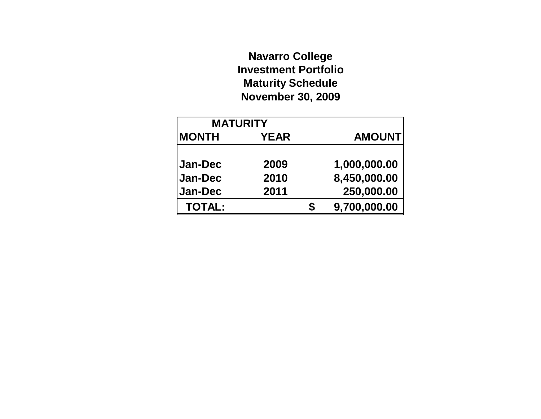# **Navarro College Investment Portfolio Maturity Schedule November 30, 2009**

| <b>MATURITY</b> |             |   |               |
|-----------------|-------------|---|---------------|
| <b>MONTH</b>    | <b>YEAR</b> |   | <b>AMOUNT</b> |
|                 |             |   |               |
| <b>Jan-Dec</b>  | 2009        |   | 1,000,000.00  |
| Jan-Dec         | 2010        |   | 8,450,000.00  |
| Jan-Dec         | 2011        |   | 250,000.00    |
| <b>TOTAL:</b>   |             | S | 9,700,000.00  |